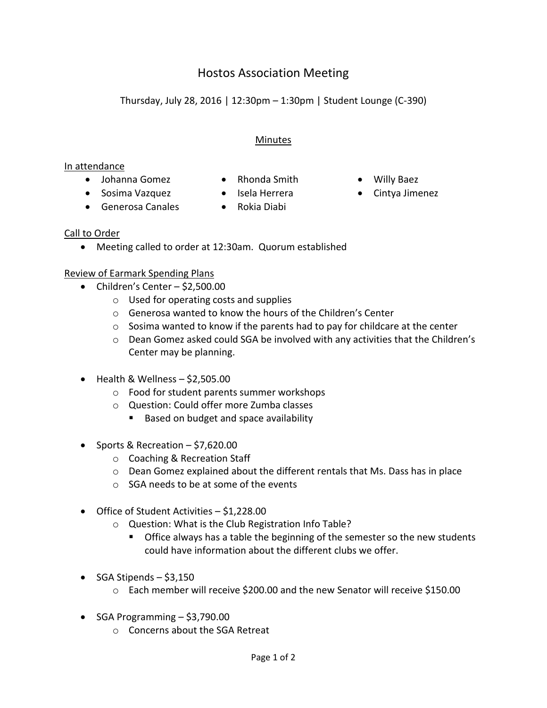# Hostos Association Meeting

Thursday, July 28, 2016 | 12:30pm – 1:30pm | Student Lounge (C-390)

## Minutes

#### In attendance

- Johanna Gomez Rhonda Smith Willy Baez
- -
- Generosa Canales Rokia Diabi
- 
- 
- Sosima Vazquez Isela Herrera Cintya Jimenez

## Call to Order

Meeting called to order at 12:30am. Quorum established

## Review of Earmark Spending Plans

- $\bullet$  Children's Center \$2,500.00
	- o Used for operating costs and supplies
	- o Generosa wanted to know the hours of the Children's Center
	- $\circ$  Sosima wanted to know if the parents had to pay for childcare at the center
	- o Dean Gomez asked could SGA be involved with any activities that the Children's Center may be planning.
- $\bullet$  Health & Wellness \$2,505.00
	- o Food for student parents summer workshops
	- o Question: Could offer more Zumba classes
		- Based on budget and space availability
- Sports & Recreation  $-$  \$7,620.00
	- o Coaching & Recreation Staff
	- o Dean Gomez explained about the different rentals that Ms. Dass has in place
	- o SGA needs to be at some of the events
- Office of Student Activities \$1,228.00
	- o Question: What is the Club Registration Info Table?
		- Office always has a table the beginning of the semester so the new students could have information about the different clubs we offer.
- $\bullet$  SGA Stipends \$3,150
	- o Each member will receive \$200.00 and the new Senator will receive \$150.00
- $\bullet$  SGA Programming  $-$  \$3,790.00
	- o Concerns about the SGA Retreat